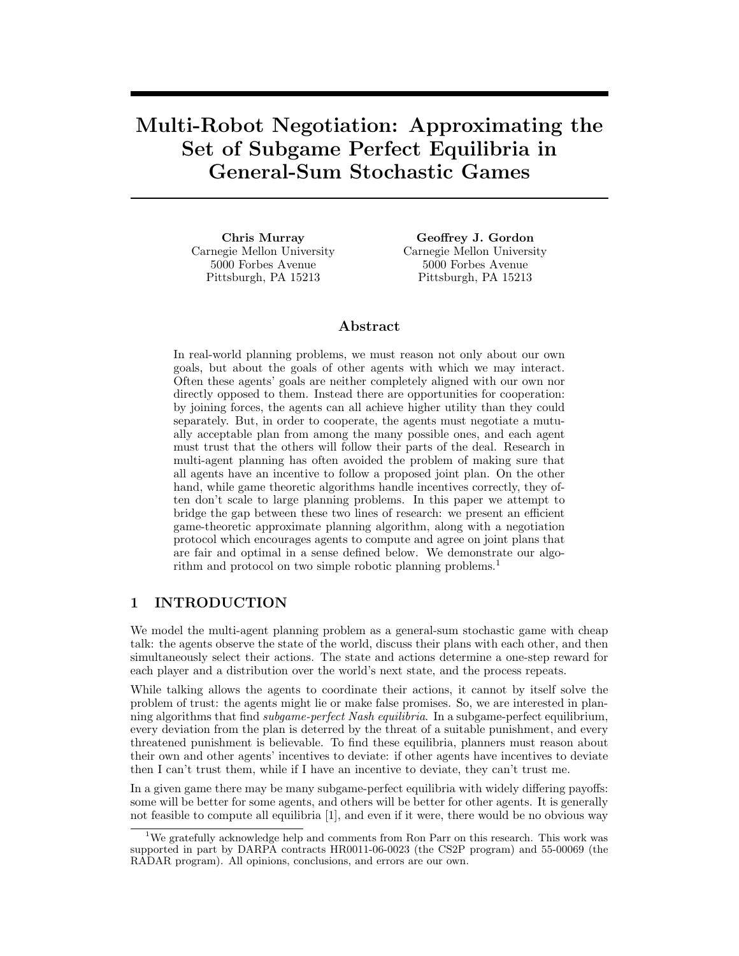# **Multi-Robot Negotiation: Approximating the General-Sum Stochastic Games General-Sum Stochastic Games**

**Chris Murray** Carnegie Mellon University 5000 Forbes Avenue Pittsburgh, PA 15213

**Geoffrey J. Gordon** Carnegie Mellon University 5000 Forbes Avenue Pittsburgh, PA 15213

#### Abstract

In real-world planning problems, we must reason not only about our own goals, but about the goals of other agents with which we may interact. Often these agents' goals are neither completely aligned with our own nor directly opposed to them. Instead there are opportunities for cooperation: by joining forces, the agents can all achieve higher utility than they could separately. But, in order to cooperate, the agents must negotiate a mutually acceptable plan from among the many possible ones, and each agent must trust that the others will follow their parts of the deal. Research in multi-agent planning has often avoided the problem of making sure that all agents have an incentive to follow a proposed joint plan. On the other hand, while game theoretic algorithms handle incentives correctly, they often don't scale to large planning problems. In this paper we attempt to bridge the gap between these two lines of research: we present an efficient game-theoretic approximate planning algorithm, along with a negotiation protocol which encourages agents to compute and agree on joint plans that are fair and optimal in a sense defined below. We demonstrate our algorithm and protocol on two simple robotic planning problems.<sup>1</sup>

#### $\mathbf{1}$ **INTRODUCTION 1 Internet Construction**

We model the multi-agent planning problem as a general-sum stochastic game with cheap talk: the agents observe the state of the world, discuss their plans with each other, and then simultaneously select their actions. The state and actions determine a one-step reward for each player and a distribution over the world's next state, and the process repeats.

While talking allows the agents to coordinate their actions, it cannot by itself solve the problem of trust: the agents might lie or make false promises. So, we are interested in planning algorithms that find *subgame-perfect Nash equilibria*. In a subgame-perfect equilibrium, every deviation from the plan is deterred by the threat of a suitable punishment, and every threatened punishment is believable. To find these equilibria, planners must reason about their own and other agents' incentives to deviate: if other agents have incentives to deviate then I can't trust them, while if I have an incentive to deviate, they can't trust me.

In a given game there may be many subgame-perfect equilibria with widely differing payoffs: some will be better for some agents, and others will be better for other agents. It is generally not feasible to compute all equilibria [1], and even if it were, there would be no obvious way

 $1$ We gratefully acknowledge help and comments from Ron Parr on this research. This work was supported in part by DARPA contracts HR0011-06-0023 (the CS2P program) and 55-00069 (the RADAR program). All opinions, conclusions, and errors are our own.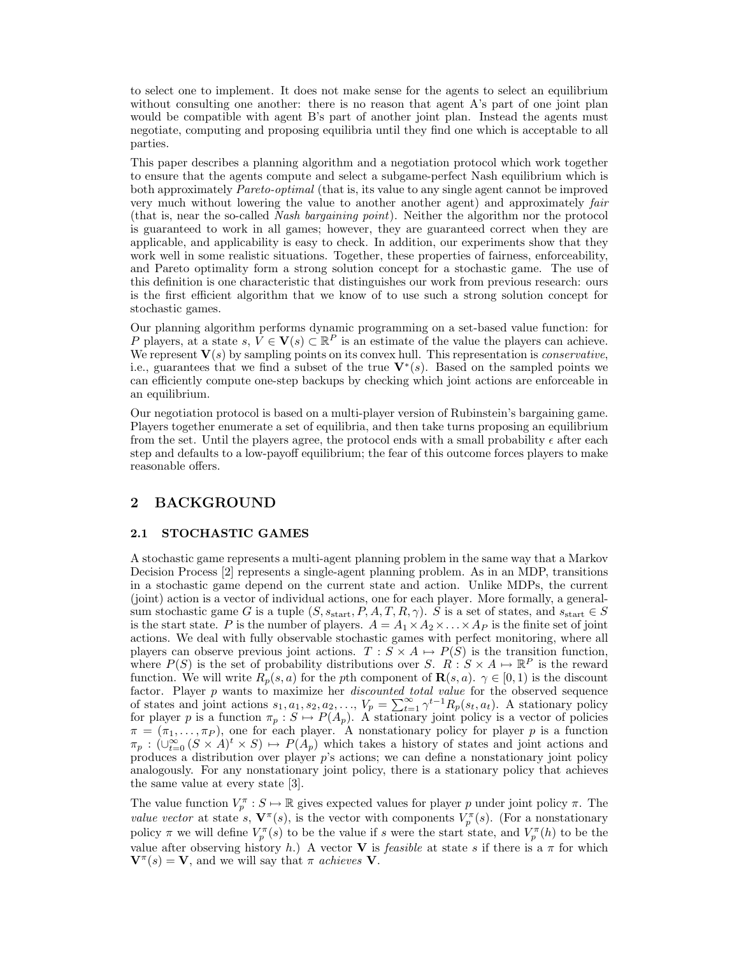to select one to implement. It does not make sense for the agents to select an equilibrium without consulting one another: there is no reason that agent A's part of one joint plan would be compatible with agent B's part of another joint plan. Instead the agents must negotiate, computing and proposing equilibria until they find one which is acceptable to all parties.

This paper describes a planning algorithm and a negotiation protocol which work together to ensure that the agents compute and select a subgame-perfect Nash equilibrium which is both approximately *Pareto-optimal* (that is, its value to any single agent cannot be improved very much without lowering the value to another another agent) and approximately *fair* (that is, near the so-called *Nash bargaining point*). Neither the algorithm nor the protocol is guaranteed to work in all games; however, they are guaranteed correct when they are applicable, and applicability is easy to check. In addition, our experiments show that they work well in some realistic situations. Together, these properties of fairness, enforceability, and Pareto optimality form a strong solution concept for a stochastic game. The use of this definition is one characteristic that distinguishes our work from previous research: ours is the first efficient algorithm that we know of to use such a strong solution concept for stochastic games.

Our planning algorithm performs dynamic programming on a set-based value function: for P players, at a state s,  $\hat{V} \in V(s) \subset \mathbb{R}^P$  is an estimate of the value the players can achieve. We represent **V**(s) by sampling points on its convex hull. This representation is *conservative*, i.e., guarantees that we find a subset of the true  $\mathbf{V}^*(s)$ . Based on the sampled points we can efficiently compute one-step backups by checking which joint actions are enforceable in an equilibrium.

Our negotiation protocol is based on a multi-player version of Rubinstein's bargaining game. Players together enumerate a set of equilibria, and then take turns proposing an equilibrium from the set. Until the players agree, the protocol ends with a small probability  $\epsilon$  after each step and defaults to a low-payoff equilibrium; the fear of this outcome forces players to make reasonable offers.

## **2** Background **2**

#### **2.1 STOCHASTIC GAMES**

A stochastic game represents a multi-agent planning problem in the same way that a Markov Decision Process [2] represents a single-agent planning problem. As in an MDP, transitions in a stochastic game depend on the current state and action. Unlike MDPs, the current (joint) action is a vector of individual actions, one for each player. More formally, a generalsum stochastic game G is a tuple  $(S, s_{start}, P, A, T, R, \gamma)$ . S is a set of states, and  $s_{start} \in S$ is the start state. P is the number of players.  $A = A_1 \times A_2 \times \ldots \times A_p$  is the finite set of joint actions. We deal with fully observable stochastic games with perfect monitoring, where all players can observe previous joint actions.  $T : S \times A \mapsto P(S)$  is the transition function, where  $P(S)$  is the set of probability distributions over S.  $R : S \times A \mapsto \mathbb{R}^P$  is the reward function. We will write  $R_p(s, a)$  for the pth component of  $\mathbf{R}(s, a)$ .  $\gamma \in [0, 1)$  is the discount factor. Player p wants to maximize her *discounted total value* for the observed sequence of states and joint actions  $s_1, a_1, s_2, a_2, \ldots, V_p = \sum_{t=1}^{\infty} \gamma^{t-1} R_p(s_t, a_t)$ . A stationary policy for player p is a function  $\pi_p : S \mapsto P(A_p)$ . A stationary joint policy is a vector of policies  $\pi = (\pi_1, \ldots, \pi_P)$ , one for each player. A nonstationary policy for player p is a function  $\pi_p : (\cup_{t=0}^{\infty} (S \times A)^t \times S) \mapsto P(A_p)$  which takes a history of states and joint actions and produces a distribution over player p's actions; we can define a nonstationary joint policy analogously. For any nonstationary joint policy, there is a stationary policy that achieves the same value at every state [3].

The value function  $V_p^{\pi}: S \mapsto \mathbb{R}$  gives expected values for player p under joint policy  $\pi$ . The *value vector* at state s,  $\mathbf{V}^{\pi}(s)$ , is the vector with components  $V_p^{\pi}(s)$ . (For a nonstationary policy  $\pi$  we will define  $V_p^{\pi}(s)$  to be the value if s were the start state, and  $V_p^{\pi}(h)$  to be the value after observing history h.) A vector **V** is *feasible* at state s if there is a  $\pi$  for which  $\mathbf{V}^{\pi}(s) = \mathbf{V}$ , and we will say that  $\pi$  *achieves* **V**.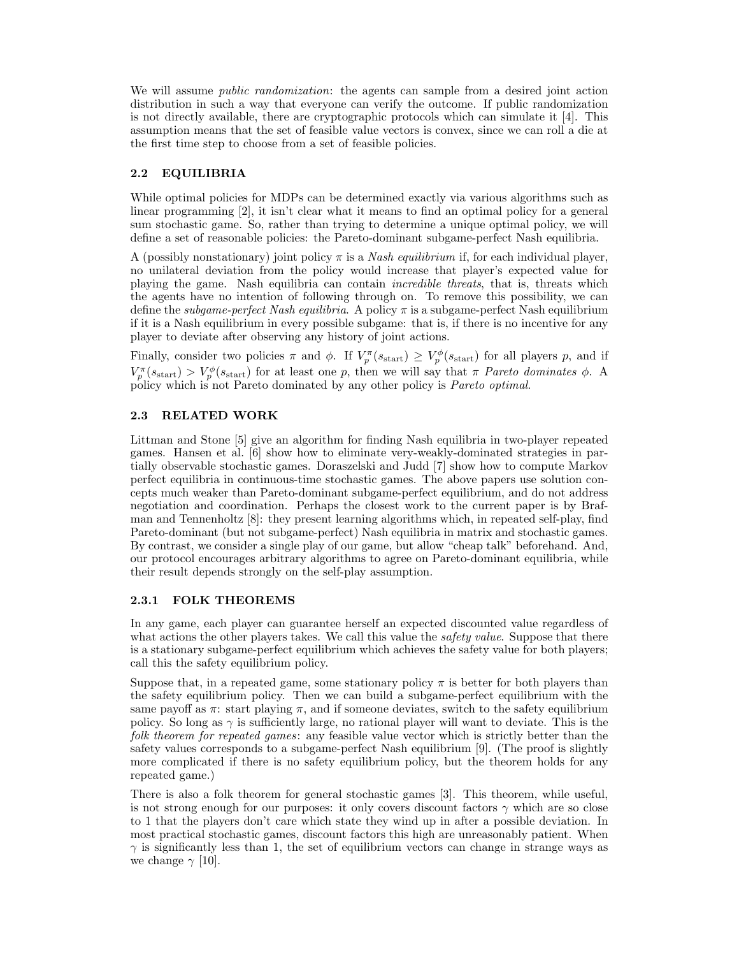We will assume *public randomization*: the agents can sample from a desired joint action distribution in such a way that everyone can verify the outcome. If public randomization is not directly available, there are cryptographic protocols which can simulate it [4]. This assumption means that the set of feasible value vectors is convex, since we can roll a die at the first time step to choose from a set of feasible policies.

### **2.2 EQUILIBRIA**

While optimal policies for MDPs can be determined exactly via various algorithms such as linear programming [2], it isn't clear what it means to find an optimal policy for a general sum stochastic game. So, rather than trying to determine a unique optimal policy, we will define a set of reasonable policies: the Pareto-dominant subgame-perfect Nash equilibria.

A (possibly nonstationary) joint policy  $\pi$  is a *Nash equilibrium* if, for each individual player, no unilateral deviation from the policy would increase that player's expected value for playing the game. Nash equilibria can contain *incredible threats*, that is, threats which the agents have no intention of following through on. To remove this possibility, we can define the *subgame-perfect Nash equilibria*. A policy  $\pi$  is a subgame-perfect Nash equilibrium if it is a Nash equilibrium in every possible subgame: that is, if there is no incentive for any player to deviate after observing any history of joint actions.

Finally, consider two policies  $\pi$  and  $\phi$ . If  $V_p^{\pi}(s_{\text{start}}) \geq V_p^{\phi}(s_{\text{start}})$  for all players p, and if  $V_p^{\pi}(s_{\text{start}}) > V_p^{\phi}(s_{\text{start}})$  for at least one p, then we will say that  $\pi$  *Pareto dominates*  $\phi$ . A policy which is not Pareto dominated by any other policy is *Pareto optimal*.

### **2.3 RELATED WORK**

Littman and Stone [5] give an algorithm for finding Nash equilibria in two-player repeated games. Hansen et al. [6] show how to eliminate very-weakly-dominated strategies in partially observable stochastic games. Doraszelski and Judd [7] show how to compute Markov perfect equilibria in continuous-time stochastic games. The above papers use solution concepts much weaker than Pareto-dominant subgame-perfect equilibrium, and do not address negotiation and coordination. Perhaps the closest work to the current paper is by Brafman and Tennenholtz [8]: they present learning algorithms which, in repeated self-play, find Pareto-dominant (but not subgame-perfect) Nash equilibria in matrix and stochastic games. By contrast, we consider a single play of our game, but allow "cheap talk" beforehand. And, our protocol encourages arbitrary algorithms to agree on Pareto-dominant equilibria, while their result depends strongly on the self-play assumption.

#### **2.3.1 FOLK THEOREMS**

In any game, each player can guarantee herself an expected discounted value regardless of what actions the other players takes. We call this value the *safety value*. Suppose that there is a stationary subgame-perfect equilibrium which achieves the safety value for both players; call this the safety equilibrium policy.

Suppose that, in a repeated game, some stationary policy  $\pi$  is better for both players than the safety equilibrium policy. Then we can build a subgame-perfect equilibrium with the same payoff as  $\pi$ : start playing  $\pi$ , and if someone deviates, switch to the safety equilibrium policy. So long as  $\gamma$  is sufficiently large, no rational player will want to deviate. This is the *folk theorem for repeated games*: any feasible value vector which is strictly better than the safety values corresponds to a subgame-perfect Nash equilibrium [9]. (The proof is slightly more complicated if there is no safety equilibrium policy, but the theorem holds for any repeated game.)

There is also a folk theorem for general stochastic games [3]. This theorem, while useful, is not strong enough for our purposes: it only covers discount factors  $\gamma$  which are so close to 1 that the players don't care which state they wind up in after a possible deviation. In most practical stochastic games, discount factors this high are unreasonably patient. When  $\gamma$  is significantly less than 1, the set of equilibrium vectors can change in strange ways as we change  $\gamma$  [10].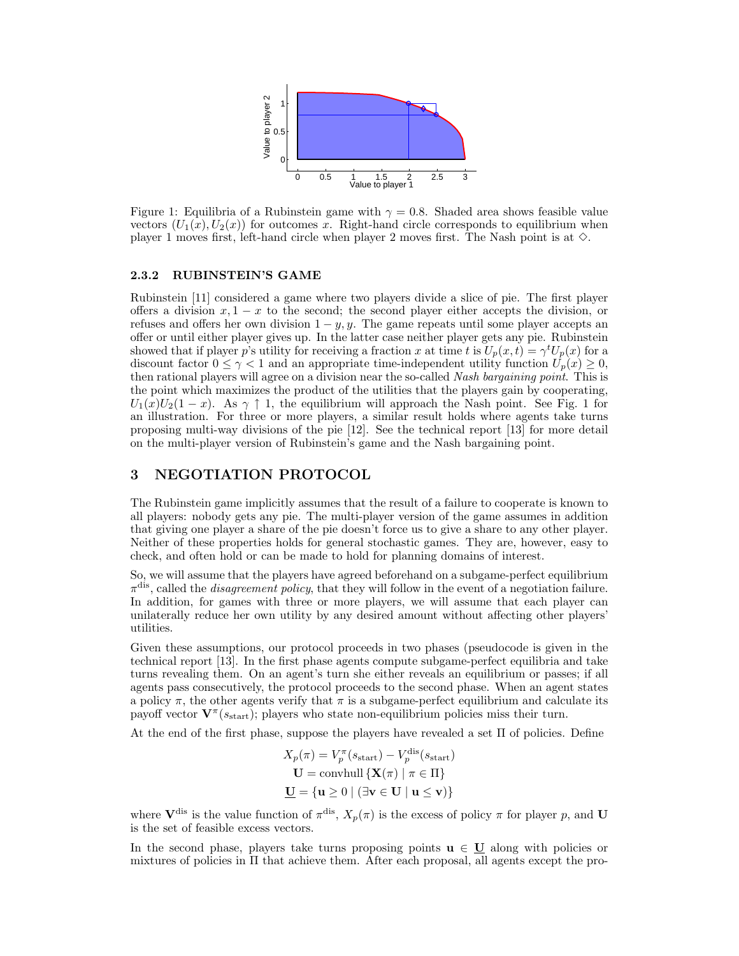

Figure 1: Equilibria of a Rubinstein game with  $\gamma = 0.8$ . Shaded area shows feasible value vectors  $(U_1(x), U_2(x))$  for outcomes x. Right-hand circle corresponds to equilibrium when player 1 moves first, left-hand circle when player 2 moves first. The Nash point is at  $\diamond$ .

#### **2.3.2 RUBINSTEIN'S GAME**

Rubinstein [11] considered a game where two players divide a slice of pie. The first player offers a division  $x, 1 - x$  to the second; the second player either accepts the division, or refuses and offers her own division  $1 - y$ , y. The game repeats until some player accepts an offer or until either player gives up. In the latter case neither player gets any pie. Rubinstein showed that if player p's utility for receiving a fraction x at time t is  $U_p(x,t) = \gamma^t U_p(x)$  for a discount factor  $0 \leq \gamma < 1$  and an appropriate time-independent utility function  $U_p(x) \geq 0$ , then rational players will agree on a division near the so-called *Nash bargaining point*. This is the point which maximizes the product of the utilities that the players gain by cooperating,  $U_1(x)U_2(1-x)$ . As  $\gamma \uparrow 1$ , the equilibrium will approach the Nash point. See Fig. 1 for an illustration. For three or more players, a similar result holds where agents take turns proposing multi-way divisions of the pie [12]. See the technical report [13] for more detail on the multi-player version of Rubinstein's game and the Nash bargaining point.

### **3 NEGOTIATION PROTOCOL**

The Rubinstein game implicitly assumes that the result of a failure to cooperate is known to all players: nobody gets any pie. The multi-player version of the game assumes in addition that giving one player a share of the pie doesn't force us to give a share to any other player. Neither of these properties holds for general stochastic games. They are, however, easy to check, and often hold or can be made to hold for planning domains of interest.

So, we will assume that the players have agreed beforehand on a subgame-perfect equilibrium  $\pi^{\text{dis}}$ , called the *disagreement policy*, that they will follow in the event of a negotiation failure. In addition, for games with three or more players, we will assume that each player can unilaterally reduce her own utility by any desired amount without affecting other players' utilities.

Given these assumptions, our protocol proceeds in two phases (pseudocode is given in the technical report [13]. In the first phase agents compute subgame-perfect equilibria and take turns revealing them. On an agent's turn she either reveals an equilibrium or passes; if all agents pass consecutively, the protocol proceeds to the second phase. When an agent states a policy  $\pi$ , the other agents verify that  $\pi$  is a subgame-perfect equilibrium and calculate its payoff vector  $\mathbf{V}^{\pi}(s_{\text{start}})$ ; players who state non-equilibrium policies miss their turn.

At the end of the first phase, suppose the players have revealed a set Π of policies. Define

$$
X_p(\pi) = V_p^{\pi}(s_{\text{start}}) - V_p^{\text{dis}}(s_{\text{start}})
$$
  

$$
\mathbf{U} = \text{convhull} \{ \mathbf{X}(\pi) \mid \pi \in \Pi \}
$$
  

$$
\mathbf{U} = \{ \mathbf{u} \ge 0 \mid (\exists \mathbf{v} \in \mathbf{U} \mid \mathbf{u} \le \mathbf{v}) \}
$$

where  $V^{\text{dis}}$  is the value function of  $\pi^{\text{dis}}$ ,  $X_p(\pi)$  is the excess of policy  $\pi$  for player p, and **U** is the set of feasible excess vectors.

In the second phase, players take turns proposing points  $\mathbf{u} \in \mathbf{U}$  along with policies or mixtures of policies in  $\Pi$  that achieve them. After each proposal, all agents except the pro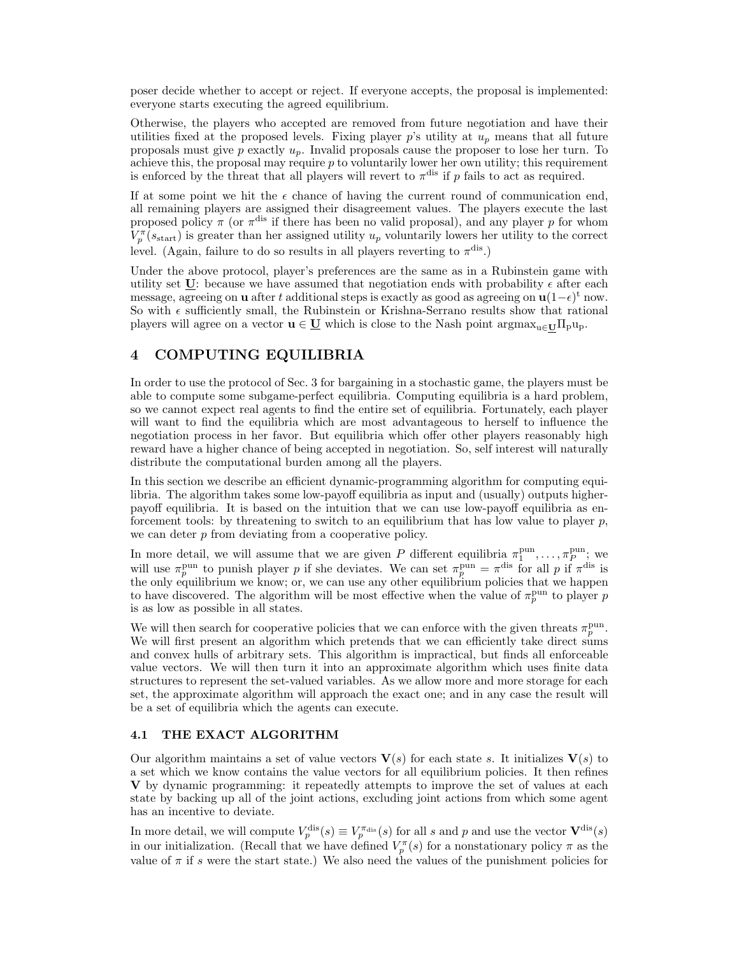poser decide whether to accept or reject. If everyone accepts, the proposal is implemented: everyone starts executing the agreed equilibrium.

Otherwise, the players who accepted are removed from future negotiation and have their utilities fixed at the proposed levels. Fixing player  $p$ 's utility at  $u_p$  means that all future proposals must give p exactly  $u_p$ . Invalid proposals cause the proposer to lose her turn. To achieve this, the proposal may require  $p$  to voluntarily lower her own utility; this requirement is enforced by the threat that all players will revert to  $\pi$ <sup>dis</sup> if p fails to act as required.

If at some point we hit the  $\epsilon$  chance of having the current round of communication end, all remaining players are assigned their disagreement values. The players execute the last proposed policy  $\pi$  (or  $\pi$ <sup>dis</sup> if there has been no valid proposal), and any player p for whom  $V_p^{\pi}(s_{\text{start}})$  is greater than her assigned utility  $u_p$  voluntarily lowers her utility to the correct level. (Again, failure to do so results in all players reverting to  $\pi^{\text{dis}}$ .)

Under the above protocol, player's preferences are the same as in a Rubinstein game with utility set  $\underline{U}$ : because we have assumed that negotiation ends with probability  $\epsilon$  after each message, agreeing on **u** after t additional steps is exactly as good as agreeing on  $\mathbf{u}(1-\epsilon)^t$  now. So with  $\epsilon$  sufficiently small, the Rubinstein or Krishna-Serrano results show that rational players will agree on a vector  $\mathbf{u} \in \underline{\mathbf{U}}$  which is close to the Nash point  $\operatorname{argmax}_{\mathbf{u} \in \mathbf{U}} \Pi_{\mathbf{p}} \mathbf{u}_{\mathbf{p}}$ .

### **4 COMPUTING EQUILIBRIA**

In order to use the protocol of Sec. 3 for bargaining in a stochastic game, the players must be able to compute some subgame-perfect equilibria. Computing equilibria is a hard problem, so we cannot expect real agents to find the entire set of equilibria. Fortunately, each player will want to find the equilibria which are most advantageous to herself to influence the negotiation process in her favor. But equilibria which offer other players reasonably high reward have a higher chance of being accepted in negotiation. So, self interest will naturally distribute the computational burden among all the players.

In this section we describe an efficient dynamic-programming algorithm for computing equilibria. The algorithm takes some low-payoff equilibria as input and (usually) outputs higherpayoff equilibria. It is based on the intuition that we can use low-payoff equilibria as enforcement tools: by threatening to switch to an equilibrium that has low value to player  $p$ , we can deter p from deviating from a cooperative policy.

In more detail, we will assume that we are given P different equilibria  $\pi_1^{\text{pun}}, \ldots, \pi_P^{\text{pun}}$ ; we will use  $\pi_p^{\text{pun}}$  to punish player p if she deviates. We can set  $\pi_p^{\text{pun}} = \pi^{\text{dis}}$  for all p if  $\pi^{\text{dis}}$  is the only equilibrium we know; or, we can use any other equilibrium policies that we happen to have discovered. The algorithm will be most effective when the value of  $\pi_p^{\text{pun}}$  to player p is as low as possible in all states.

We will then search for cooperative policies that we can enforce with the given threats  $\pi_p^{\text{pun}}$ . We will first present an algorithm which pretends that we can efficiently take direct sums and convex hulls of arbitrary sets. This algorithm is impractical, but finds all enforceable value vectors. We will then turn it into an approximate algorithm which uses finite data structures to represent the set-valued variables. As we allow more and more storage for each set, the approximate algorithm will approach the exact one; and in any case the result will be a set of equilibria which the agents can execute.

#### **4.1 THE EXACT ALGORITHM**

Our algorithm maintains a set of value vectors  $\mathbf{V}(s)$  for each state s. It initializes  $\mathbf{V}(s)$  to a set which we know contains the value vectors for all equilibrium policies. It then refines **V** by dynamic programming: it repeatedly attempts to improve the set of values at each state by backing up all of the joint actions, excluding joint actions from which some agent has an incentive to deviate.

In more detail, we will compute  $V_p^{\text{dis}}(s) \equiv V_p^{\pi_{\text{dis}}}(s)$  for all s and p and use the vector  $\mathbf{V}^{\text{dis}}(s)$ in our initialization. (Recall that we have defined  $V_p^{\pi}(s)$  for a nonstationary policy  $\pi$  as the value of  $\pi$  if s were the start state.) We also need the values of the punishment policies for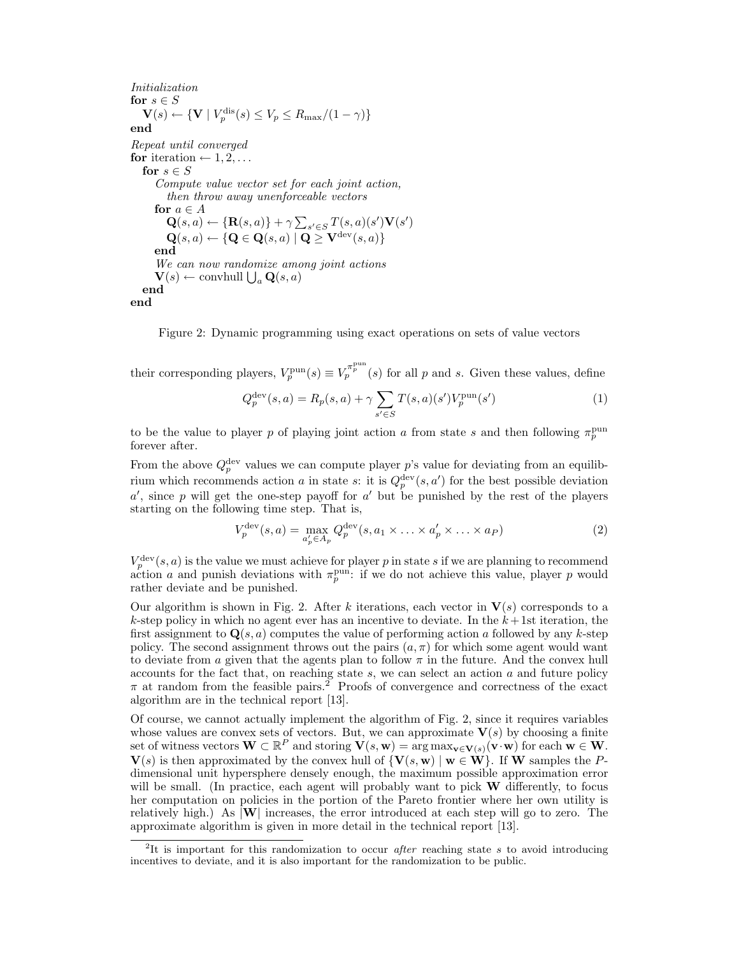*Initialization* for  $s \in S$  $\mathbf{V}(s) \leftarrow {\bf \{V \mid V_p^{\text{dis}}(s) \leq V_p \leq R_{\text{max}}/(1-\gamma) \}}$ <br> **end** *Repeat until converged* **for** iteration  $\leftarrow$  1, 2, ... for  $s \in S$ *Compute value vector set for each joint action, then throw away unenforceable vectors* **for**  $a \in A$  $\mathbf{Q}(s, a) \leftarrow {\mathbf{R}(s, a)} + \gamma \sum_{s' \in S} T(s, a)(s') \mathbf{V}(s')$  $\mathbf{Q}(s, a) \leftarrow \{\mathbf{Q} \in \mathbf{Q}(s, a) \mid \mathbf{Q} \geq \mathbf{V}^{\text{dev}}(s, a)\}\$ **end** *We can now randomize among joint actions*  $\mathbf{V}(s) \leftarrow \text{convhull } \bigcup_a \mathbf{Q}(s, a)$ **end end**

Figure 2: Dynamic programming using exact operations on sets of value vectors

their corresponding players,  $V_p^{\text{pun}}(s) \equiv V_p^{\pi_p^{\text{pun}}}(s)$  for all p and s. Given these values, define

$$
Q_p^{\text{dev}}(s, a) = R_p(s, a) + \gamma \sum_{s' \in S} T(s, a)(s') V_p^{\text{pun}}(s')
$$
 (1)

to be the value to player p of playing joint action a from state s and then following  $\pi_p^{\text{pun}}$ forever after.

From the above  $Q_p^{\text{dev}}$  values we can compute player p's value for deviating from an equilibrium which recommends action a in state s: it is  $Q_p^{\text{dev}}(s, a')$  for the best possible deviation  $a'$ , since p will get the one-step payoff for  $a'$  but be punished by the rest of the players starting on the following time step. That is,

$$
V_p^{\text{dev}}(s, a) = \max_{a'_p \in A_p} Q_p^{\text{dev}}(s, a_1 \times \ldots \times a'_p \times \ldots \times a_P)
$$
 (2)

 $V_p^{\text{dev}}(s, a)$  is the value we must achieve for player p in state s if we are planning to recommend action a and punish deviations with  $\pi_p^{\text{pun}}$ : if we do not achieve this value, player p would rather deviate and be punished.

Our algorithm is shown in Fig. 2. After k iterations, each vector in  $V(s)$  corresponds to a k-step policy in which no agent ever has an incentive to deviate. In the  $k+1$ st iteration, the first assignment to  $\mathbf{Q}(s, a)$  computes the value of performing action a followed by any k-step policy. The second assignment throws out the pairs  $(a, \pi)$  for which some agent would want to deviate from a given that the agents plan to follow  $\pi$  in the future. And the convex hull accounts for the fact that, on reaching state  $s$ , we can select an action  $a$  and future policy  $\pi$  at random from the feasible pairs.<sup>2</sup> Proofs of convergence and correctness of the exact algorithm are in the technical report [13].

Of course, we cannot actually implement the algorithm of Fig. 2, since it requires variables whose values are convex sets of vectors. But, we can approximate  $\mathbf{V}(s)$  by choosing a finite set of witness vectors  $\mathbf{W} \subset \mathbb{R}^P$  and storing  $\mathbf{V}(s, \mathbf{w}) = \arg \max_{\mathbf{v} \in \mathbf{V}(s)} (\mathbf{v} \cdot \mathbf{w})$  for each  $\mathbf{w} \in \mathbf{W}$ .  $\mathbf{V}(s)$  is then approximated by the convex hull of  $\{\mathbf{V}(s, \mathbf{w}) \mid \mathbf{w} \in \mathbf{W}\}\)$ . If **W** samples the Pdimensional unit hypersphere densely enough, the maximum possible approximation error will be small. (In practice, each agent will probably want to pick **W** differently, to focus her computation on policies in the portion of the Pareto frontier where her own utility is relatively high.) As |**W**| increases, the error introduced at each step will go to zero. The approximate algorithm is given in more detail in the technical report [13].

<sup>2</sup>It is important for this randomization to occur *after* reaching state *s* to avoid introducing incentives to deviate, and it is also important for the randomization to be public.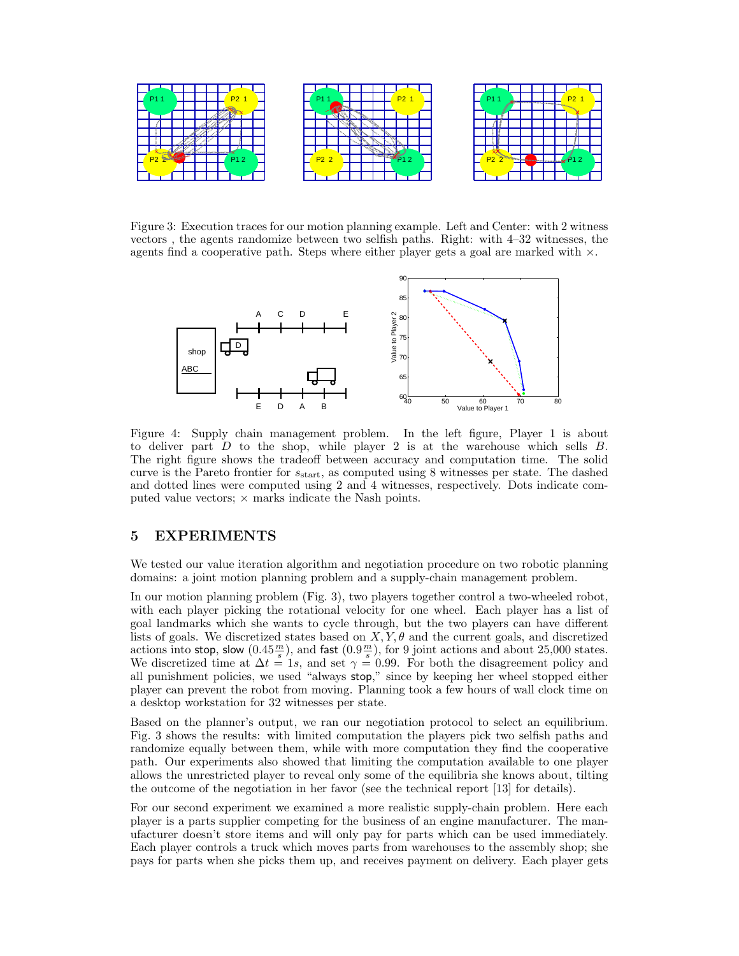

Figure 3: Execution traces for our motion planning example. Left and Center: with 2 witness vectors , the agents randomize between two selfish paths. Right: with 4–32 witnesses, the agents find a cooperative path. Steps where either player gets a goal are marked with  $\times$ .



Figure 4: Supply chain management problem. In the left figure, Player 1 is about to deliver part  $D$  to the shop, while player 2 is at the warehouse which sells  $B$ . The right figure shows the tradeoff between accuracy and computation time. The solid curve is the Pareto frontier for  $s_{\text{start}}$ , as computed using 8 witnesses per state. The dashed and dotted lines were computed using 2 and 4 witnesses, respectively. Dots indicate computed value vectors;  $\times$  marks indicate the Nash points.

#### 5 **5 Experiments**

We tested our value iteration algorithm and negotiation procedure on two robotic planning domains: a joint motion planning problem and a supply-chain management problem.

In our motion planning problem (Fig. 3), two players together control a two-wheeled robot, with each player picking the rotational velocity for one wheel. Each player has a list of goal landmarks which she wants to cycle through, but the two players can have different lists of goals. We discretized states based on  $X, Y, \theta$  and the current goals, and discretized actions into stop, slow  $(0.45 \frac{m}{s})$ , and fast  $(0.9 \frac{m}{s})$ , for 9 joint actions and about 25,000 states.<br>We discretized time at  $\Delta t = 1s$  and set  $\gamma = 0.99$ . For both the disagreement policy and We discretized time at  $\Delta t = 1s$ , and set  $\gamma = 0.99$ . For both the disagreement policy and all punishment policies, we used "always stop," since by keeping her wheel stopped either player can prevent the robot from moving. Planning took a few hours of wall clock time on a desktop workstation for 32 witnesses per state.

Based on the planner's output, we ran our negotiation protocol to select an equilibrium. Fig. 3 shows the results: with limited computation the players pick two selfish paths and randomize equally between them, while with more computation they find the cooperative path. Our experiments also showed that limiting the computation available to one player allows the unrestricted player to reveal only some of the equilibria she knows about, tilting the outcome of the negotiation in her favor (see the technical report [13] for details).

For our second experiment we examined a more realistic supply-chain problem. Here each player is a parts supplier competing for the business of an engine manufacturer. The manufacturer doesn't store items and will only pay for parts which can be used immediately. Each player controls a truck which moves parts from warehouses to the assembly shop; she pays for parts when she picks them up, and receives payment on delivery. Each player gets